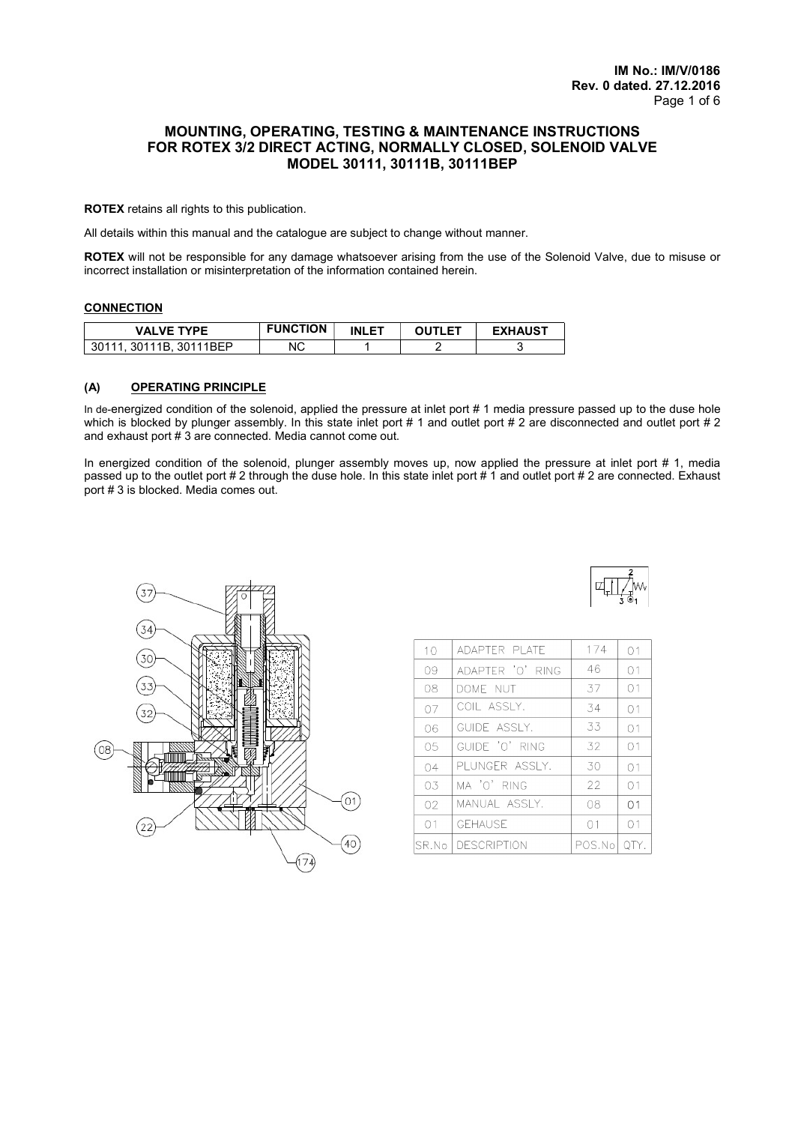# MOUNTING, OPERATING, TESTING & MAINTENANCE INSTRUCTIONS FOR ROTEX 3/2 DIRECT ACTING, NORMALLY CLOSED, SOLENOID VALVE MODEL 30111, 30111B, 30111BEP

ROTEX retains all rights to this publication.

All details within this manual and the catalogue are subject to change without manner.

ROTEX will not be responsible for any damage whatsoever arising from the use of the Solenoid Valve, due to misuse or incorrect installation or misinterpretation of the information contained herein.

#### **CONNECTION**

| <b>VALVE TYPE</b>                            | <b>FUNCTION</b> | <b>INLET</b> | TI ET | <b>EXHAUST</b> |
|----------------------------------------------|-----------------|--------------|-------|----------------|
| <b>BEP</b><br>301<br>3011<br>1R<br>3011<br>ັ | ΝC              |              |       | ີ              |

### (A) OPERATING PRINCIPLE

In de-energized condition of the solenoid, applied the pressure at inlet port # 1 media pressure passed up to the duse hole which is blocked by plunger assembly. In this state inlet port # 1 and outlet port # 2 are disconnected and outlet port # 2 and exhaust port # 3 are connected. Media cannot come out.

In energized condition of the solenoid, plunger assembly moves up, now applied the pressure at inlet port # 1, media passed up to the outlet port # 2 through the duse hole. In this state inlet port # 1 and outlet port # 2 are connected. Exhaust port # 3 is blocked. Media comes out.



| 10     | ADAPTER PLATE    | 174    | 01             |
|--------|------------------|--------|----------------|
| 09     | ADAPTER 'O' RING | 46     | 01             |
| 08     | DOME NUT         | 37     | 01             |
| 07     | COIL ASSIY.      | 34     | 01             |
| 06     | GUIDE ASSIY.     | 33     | O <sub>1</sub> |
| 05     | GUIDE 'O' RING   | 32     | 01             |
| 04     | PLUNGER ASSLY.   | 30     | 01             |
| 0.3    | MA 'O' RING      | 22     | 01             |
| 02     | MANUAL ASSLY.    | 08     | 01             |
| 01     | <b>GFHAUSE</b>   | 01     | 01             |
| SR.No. | DESCRIPTION      | POS.No |                |

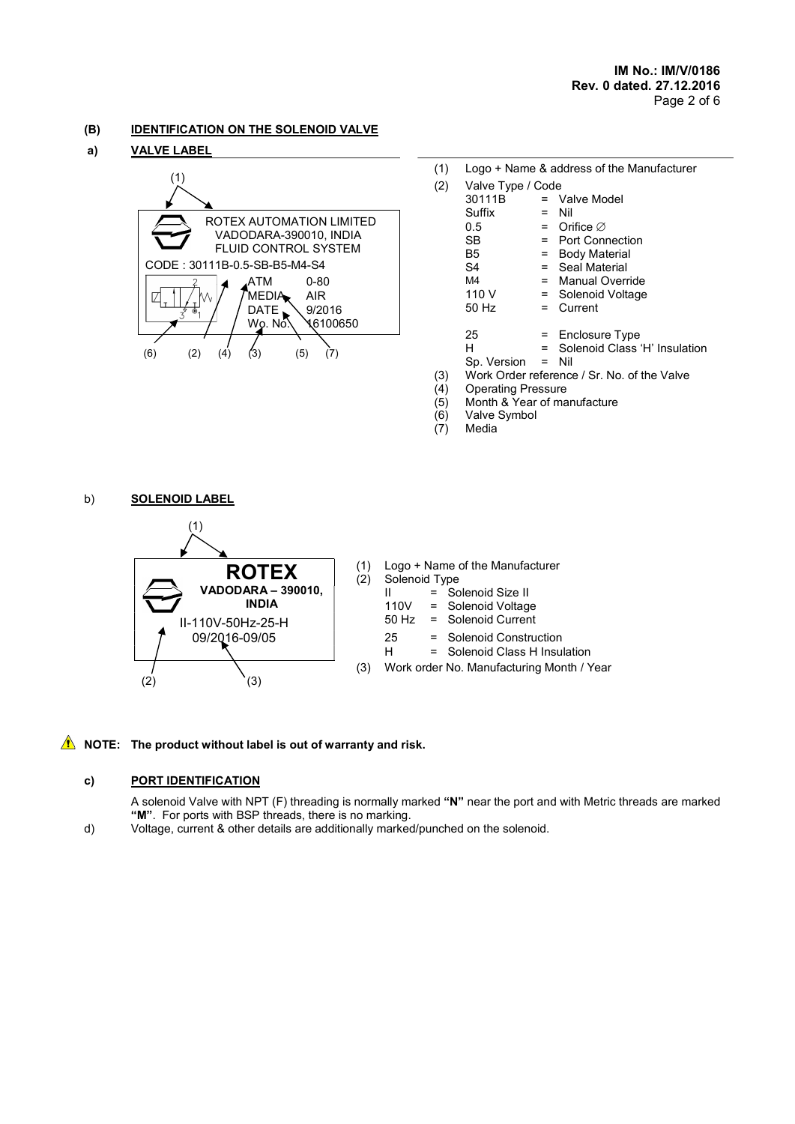# (B) IDENTIFICATION ON THE SOLENOID VALVE

# a) VALVE LABEL



| ALVE LADEL                            |     |                   |                                           |
|---------------------------------------|-----|-------------------|-------------------------------------------|
|                                       | (1) |                   | Logo + Name & address of the Manufacturer |
| (1)                                   | (2) | Valve Type / Code |                                           |
|                                       |     | 30111B            | $=$ Valve Model                           |
|                                       |     | Suffix            | $=$ Nil                                   |
| ROTEX AUTOMATION LIMITED              |     | 0.5               | $=$ Orifice $\varnothing$                 |
| VADODARA-390010, INDIA                |     | SB.               | $=$ Port Connection                       |
| FLUID CONTROL SYSTEM                  |     | B <sub>5</sub>    | <b>Body Material</b><br>Ξ                 |
| CODE: 30111B-0.5-SB-B5-M4-S4          |     | S4                | $=$ Seal Material                         |
| $0 - 80$<br>.ATM                      |     | M4                | Manual Override                           |
| MEDIA<br><b>AIR</b><br>W              |     | 110 V             | = Solenoid Voltage                        |
| <b>DATE</b><br>9/2016<br>۵            |     | 50 Hz             | Current<br>$=$                            |
| \6100650<br>Wo. Nó.                   |     |                   |                                           |
|                                       |     | 25                | $=$ Enclosure Type                        |
|                                       |     | н                 | Solenoid Class 'H' Insulation             |
| (5)<br>(6)<br>(2)<br>(3)<br>(7<br>(4) |     |                   |                                           |

- Sp. Version = Nil
- (3) Work Order reference / Sr. No. of the Valve<br>(4) Operating Pressure
- 
- (4) Operating Pressure<br>(5) Month & Year of ma (5) Month & Year of manufacture
	- Valve Symbol
- (7) Media

b) **SOLENOID LABEL** 



| <b>ROTEX</b>                               | (1)<br>(2) | Logo + Name of the Manufacturer<br>Solenoid Type |                                                                       |  |
|--------------------------------------------|------------|--------------------------------------------------|-----------------------------------------------------------------------|--|
| DARA - 390010,<br><b>INDIA</b><br>0Hz-25-H |            | Ш<br>50 Hz                                       | $=$ Solenoid Size II<br>110V = Solenoid Voltage<br>= Solenoid Current |  |
| 6-09/05                                    |            | 25<br>н                                          | = Solenoid Construction<br>= Solenoid Class H Insulation              |  |
|                                            | 3)         | Work order No. Manufacturing Month / Year        |                                                                       |  |

# $\triangle$  NOTE: The product without label is out of warranty and risk.

# c) PORT IDENTIFICATION

A solenoid Valve with NPT (F) threading is normally marked "N" near the port and with Metric threads are marked "M". For ports with BSP threads, there is no marking.

d) Voltage, current & other details are additionally marked/punched on the solenoid.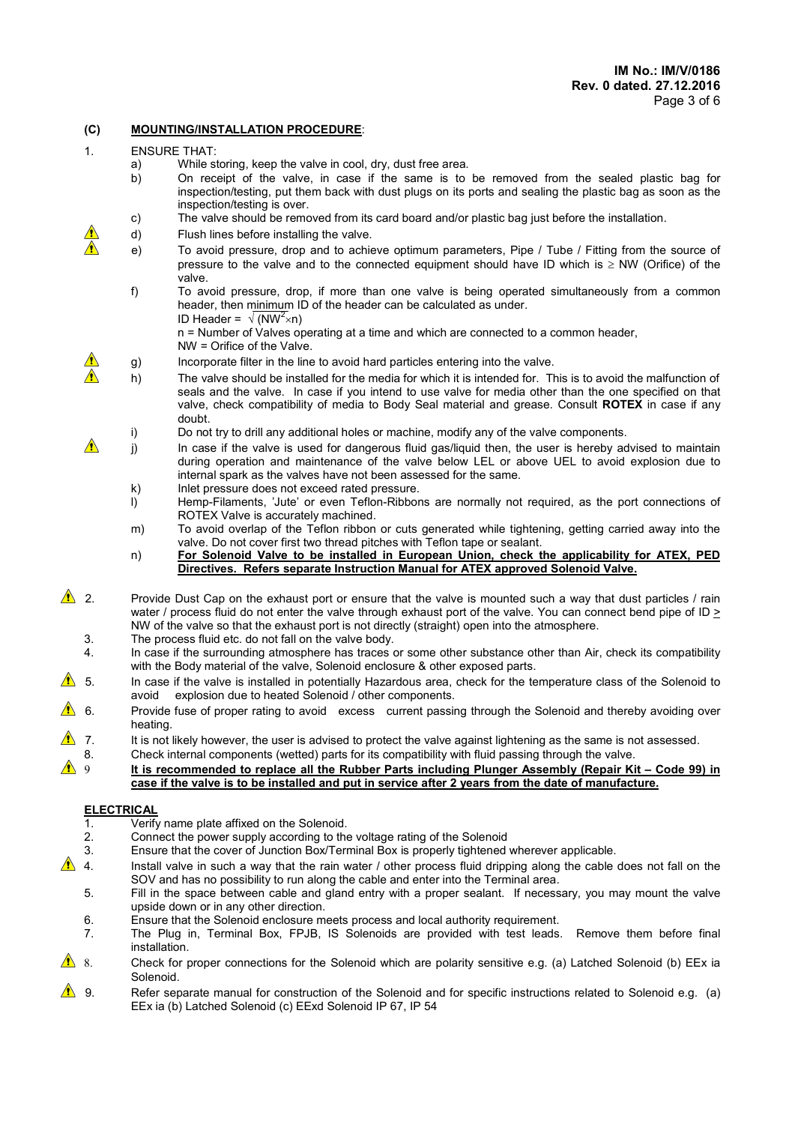# (C) MOUNTING/INSTALLATION PROCEDURE:

- 1. ENSURE THAT:
	- a) While storing, keep the valve in cool, dry, dust free area.
	- b) On receipt of the valve, in case if the same is to be removed from the sealed plastic bag for inspection/testing, put them back with dust plugs on its ports and sealing the plastic bag as soon as the inspection/testing is over.
	- c) The valve should be removed from its card board and/or plastic bag just before the installation.
	- d) Flush lines before installing the valve.
		- e) To avoid pressure, drop and to achieve optimum parameters, Pipe / Tube / Fitting from the source of pressure to the valve and to the connected equipment should have ID which is  $\geq$  NW (Orifice) of the valve.
			- f) To avoid pressure, drop, if more than one valve is being operated simultaneously from a common header, then minimum ID of the header can be calculated as under. ID Header =  $\sqrt{(NW^2 \times n)}$

 n = Number of Valves operating at a time and which are connected to a common header, NW = Orifice of the Valve.

- $\triangle$  g) Incorporate filter in the line to avoid hard particles entering into the valve.
- h) The valve should be installed for the media for which it is intended for. This is to avoid the malfunction of seals and the valve. In case if you intend to use valve for media other than the one specified on that valve, check compatibility of media to Body Seal material and grease. Consult ROTEX in case if any doubt.

i) Do not try to drill any additional holes or machine, modify any of the valve components.

- $\triangle$  i) In case if the valve is used for dangerous fluid gas/liquid then, the user is hereby advised to maintain during operation and maintenance of the valve below LEL or above UEL to avoid explosion due to internal spark as the valves have not been assessed for the same.
	- k) Inlet pressure does not exceed rated pressure.
	- l) Hemp-Filaments, 'Jute' or even Teflon-Ribbons are normally not required, as the port connections of ROTEX Valve is accurately machined.
	- m) To avoid overlap of the Teflon ribbon or cuts generated while tightening, getting carried away into the valve. Do not cover first two thread pitches with Teflon tape or sealant.
	- n) For Solenoid Valve to be installed in European Union, check the applicability for ATEX, PED Directives. Refers separate Instruction Manual for ATEX approved Solenoid Valve.

2. Provide Dust Cap on the exhaust port or ensure that the valve is mounted such a way that dust particles / rain water / process fluid do not enter the valve through exhaust port of the valve. You can connect bend pipe of ID > NW of the valve so that the exhaust port is not directly (straight) open into the atmosphere.

- 3. The process fluid etc. do not fall on the valve body.
- 4. In case if the surrounding atmosphere has traces or some other substance other than Air, check its compatibility with the Body material of the valve, Solenoid enclosure & other exposed parts.
- 5. In case if the valve is installed in potentially Hazardous area, check for the temperature class of the Solenoid to avoid explosion due to heated Solenoid / other components.
- 6. Provide fuse of proper rating to avoid excess current passing through the Solenoid and thereby avoiding over heating.
- 7. It is not likely however, the user is advised to protect the valve against lightening as the same is not assessed.
- 8. Check internal components (wetted) parts for its compatibility with fluid passing through the valve.<br>It is recommended to replace all the Rubber Parts including Plunger Assembly (Repair Ki

 9 It is recommended to replace all the Rubber Parts including Plunger Assembly (Repair Kit – Code 99) in case if the valve is to be installed and put in service after 2 years from the date of manufacture.

# ELECTRICAL

- 1. Verify name plate affixed on the Solenoid.
- 2. Connect the power supply according to the voltage rating of the Solenoid
- 3. Ensure that the cover of Junction Box/Terminal Box is properly tightened wherever applicable.
- 4. Install valve in such a way that the rain water / other process fluid dripping along the cable does not fall on the SOV and has no possibility to run along the cable and enter into the Terminal area.
	- 5. Fill in the space between cable and gland entry with a proper sealant. If necessary, you may mount the valve upside down or in any other direction.
	- 6. Ensure that the Solenoid enclosure meets process and local authority requirement.
	- 7. The Plug in, Terminal Box, FPJB, IS Solenoids are provided with test leads. Remove them before final installation.
- 8. Check for proper connections for the Solenoid which are polarity sensitive e.g. (a) Latched Solenoid (b) EEx ia Solenoid.
- 9. Refer separate manual for construction of the Solenoid and for specific instructions related to Solenoid e.g. (a) EEx ia (b) Latched Solenoid (c) EExd Solenoid IP 67, IP 54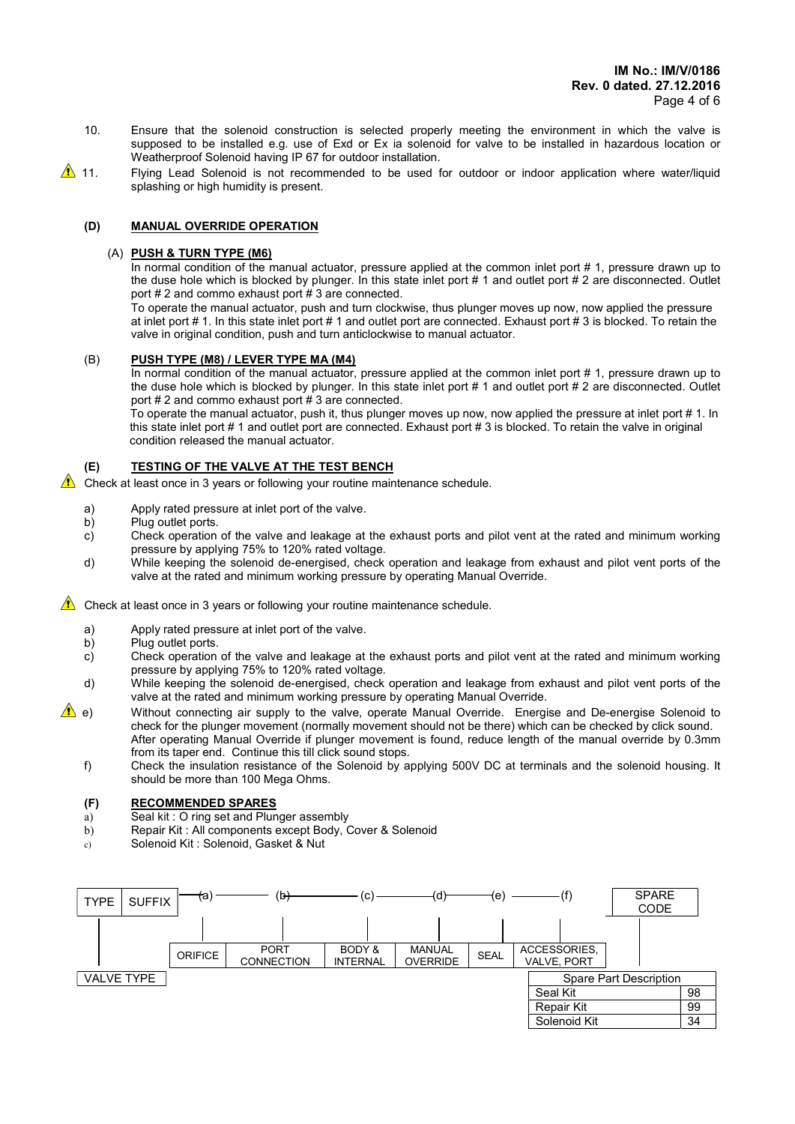- 10. Ensure that the solenoid construction is selected properly meeting the environment in which the valve is supposed to be installed e.g. use of Exd or Ex ia solenoid for valve to be installed in hazardous location or Weatherproof Solenoid having IP 67 for outdoor installation.
- 11. Flying Lead Solenoid is not recommended to be used for outdoor or indoor application where water/liquid splashing or high humidity is present.

## (D) MANUAL OVERRIDE OPERATION

#### (A) PUSH & TURN TYPE (M6)

In normal condition of the manual actuator, pressure applied at the common inlet port # 1, pressure drawn up to the duse hole which is blocked by plunger. In this state inlet port # 1 and outlet port # 2 are disconnected. Outlet port  $# 2$  and commo exhaust port  $# 3$  are connected.

To operate the manual actuator, push and turn clockwise, thus plunger moves up now, now applied the pressure at inlet port # 1. In this state inlet port # 1 and outlet port are connected. Exhaust port # 3 is blocked. To retain the valve in original condition, push and turn anticlockwise to manual actuator.

## (B) PUSH TYPE (M8) / LEVER TYPE MA (M4)

In normal condition of the manual actuator, pressure applied at the common inlet port # 1, pressure drawn up to the duse hole which is blocked by plunger. In this state inlet port # 1 and outlet port # 2 are disconnected. Outlet port # 2 and commo exhaust port # 3 are connected.

 To operate the manual actuator, push it, thus plunger moves up now, now applied the pressure at inlet port # 1. In this state inlet port # 1 and outlet port are connected. Exhaust port # 3 is blocked. To retain the valve in original condition released the manual actuator.

#### (E) TESTING OF THE VALVE AT THE TEST BENCH

Check at least once in 3 years or following your routine maintenance schedule.

- a) Apply rated pressure at inlet port of the valve.
- b) Plug outlet ports.
- c) Check operation of the valve and leakage at the exhaust ports and pilot vent at the rated and minimum working pressure by applying 75% to 120% rated voltage.
- d) While keeping the solenoid de-energised, check operation and leakage from exhaust and pilot vent ports of the valve at the rated and minimum working pressure by operating Manual Override.

Check at least once in 3 years or following your routine maintenance schedule.

- a) Apply rated pressure at inlet port of the valve.<br>b) Plug outlet ports.
- Plug outlet ports.
- c) Check operation of the valve and leakage at the exhaust ports and pilot vent at the rated and minimum working pressure by applying 75% to 120% rated voltage.
- d) While keeping the solenoid de-energised, check operation and leakage from exhaust and pilot vent ports of the valve at the rated and minimum working pressure by operating Manual Override.
- $\triangle$  e) Without connecting air supply to the valve, operate Manual Override. Energise and De-energise Solenoid to check for the plunger movement (normally movement should not be there) which can be checked by click sound. After operating Manual Override if plunger movement is found, reduce length of the manual override by 0.3mm from its taper end. Continue this till click sound stops.
	- f) Check the insulation resistance of the Solenoid by applying 500V DC at terminals and the solenoid housing. It should be more than 100 Mega Ohms.

### (F) RECOMMENDED SPARES

- a) Seal kit : O ring set and Plunger assembly
- b) Repair Kit : All components except Body, Cover & Solenoid
- c) Solenoid Kit : Solenoid, Gasket & Nut

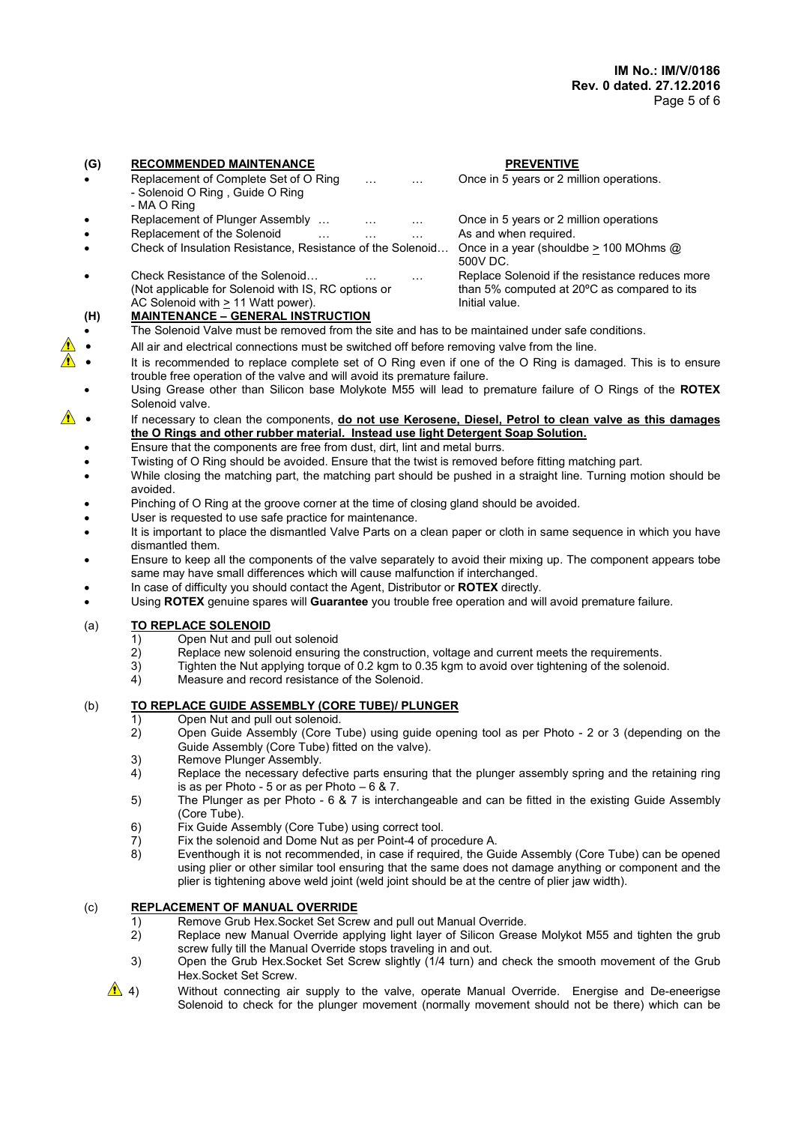## (G) RECOMMENDED MAINTENANCE PREVENTIVE Replacement of Complete Set of O Ring ... . ... ... Once in 5 years or 2 million operations. - Solenoid O Ring , Guide O Ring - MA O Ring Replacement of Plunger Assembly ... . ... ... ... Once in 5 years or 2 million operations Replacement of the Solenoid … … … … As and when required. Check of Insulation Resistance, Resistance of the Solenoid… Once in a year (shouldbe > 100 MOhms @ 500V DC. Check Resistance of the Solenoid… … … … Replace Solenoid if the resistance reduces more<br>(Not applicable for Solenoid with IS, RC options or the than 5% computed at 20°C as compared to its than 5% computed at 20 $^{\circ}$ C as compared to its AC Solenoid with > 11 Watt power). The state of the limitial value. (H) MAINTENANCE – GENERAL INSTRUCTION The Solenoid Valve must be removed from the site and has to be maintained under safe conditions. All air and electrical connections must be switched off before removing valve from the line.

- It is recommended to replace complete set of O Ring even if one of the O Ring is damaged. This is to ensure trouble free operation of the valve and will avoid its premature failure.
- Using Grease other than Silicon base Molykote M55 will lead to premature failure of O Rings of the ROTEX Solenoid valve.
- If necessary to clean the components, do not use Kerosene, Diesel, Petrol to clean valve as this damages the O Rings and other rubber material. Instead use light Detergent Soap Solution.
	- Ensure that the components are free from dust, dirt, lint and metal burrs.
	- Twisting of O Ring should be avoided. Ensure that the twist is removed before fitting matching part.
	- While closing the matching part, the matching part should be pushed in a straight line. Turning motion should be avoided.
	- Pinching of O Ring at the groove corner at the time of closing gland should be avoided.
	- User is requested to use safe practice for maintenance.
	- It is important to place the dismantled Valve Parts on a clean paper or cloth in same sequence in which you have dismantled them.
	- Ensure to keep all the components of the valve separately to avoid their mixing up. The component appears tobe same may have small differences which will cause malfunction if interchanged.
	- In case of difficulty you should contact the Agent, Distributor or ROTEX directly.
	- Using ROTEX genuine spares will Guarantee you trouble free operation and will avoid premature failure.

# (a) TO REPLACE SOLENOID

- 1) Open Nut and pull out solenoid<br>2) Replace new solenoid ensuring
- Replace new solenoid ensuring the construction, voltage and current meets the requirements.
- 3) Tighten the Nut applying torque of 0.2 kgm to 0.35 kgm to avoid over tightening of the solenoid.<br>4) Measure and record resistance of the Solenoid.
- Measure and record resistance of the Solenoid.

# (b) TO REPLACE GUIDE ASSEMBLY (CORE TUBE)/ PLUNGER

- 1) Open Nut and pull out solenoid.
- 2) Open Guide Assembly (Core Tube) using guide opening tool as per Photo 2 or 3 (depending on the Guide Assembly (Core Tube) fitted on the valve).
- 3) Remove Plunger Assembly.
- 4) Replace the necessary defective parts ensuring that the plunger assembly spring and the retaining ring is as per Photo - 5 or as per Photo – 6 & 7.
- 5) The Plunger as per Photo 6 & 7 is interchangeable and can be fitted in the existing Guide Assembly (Core Tube).
- 6) Fix Guide Assembly (Core Tube) using correct tool.
- 7) Fix the solenoid and Dome Nut as per Point-4 of procedure A.
- 8) Eventhough it is not recommended, in case if required, the Guide Assembly (Core Tube) can be opened using plier or other similar tool ensuring that the same does not damage anything or component and the plier is tightening above weld joint (weld joint should be at the centre of plier jaw width).

# (c) REPLACEMENT OF MANUAL OVERRIDE

- 1) Remove Grub Hex.Socket Set Screw and pull out Manual Override.<br>2) Replace new Manual Override applying light layer of Silicon Greas
- Replace new Manual Override applying light layer of Silicon Grease Molykot M55 and tighten the grub screw fully till the Manual Override stops traveling in and out.
- 3) Open the Grub Hex.Socket Set Screw slightly (1/4 turn) and check the smooth movement of the Grub Hex.Socket Set Screw.
- $\triangle$  4) Without connecting air supply to the valve, operate Manual Override. Energise and De-eneerigse Solenoid to check for the plunger movement (normally movement should not be there) which can be